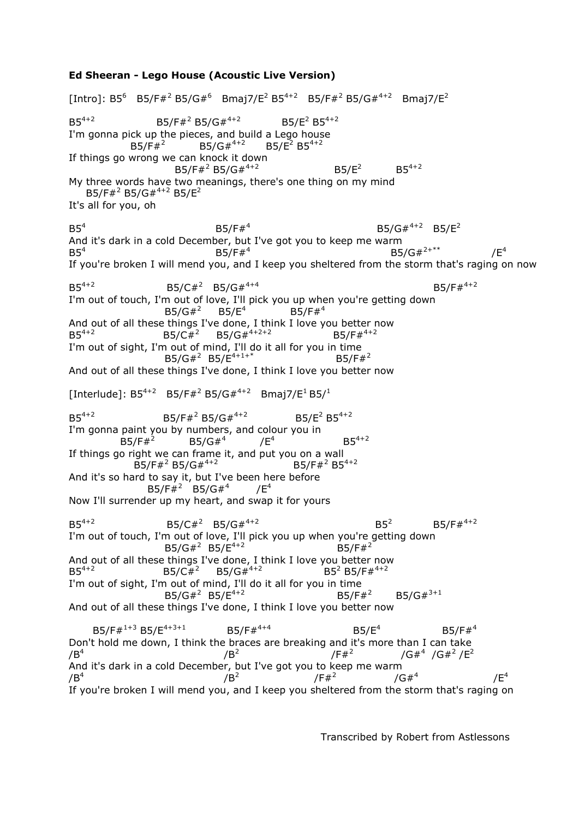## **Ed Sheeran - Lego House (Acoustic Live Version)**

[Intro]: B5<sup>6</sup> B5/F#<sup>2</sup> B5/G#<sup>6</sup> Bmaj7/E<sup>2</sup> B5<sup>4+2</sup> B5/F#<sup>2</sup> B5/G#<sup>4+2</sup> Bmaj7/E<sup>2</sup>  $B.5^{4+2}$ B5/F#<sup>2</sup> B5/G#<sup>4+2</sup>  $B5/E^2$  B5<sup>4+2</sup> I'm gonna pick up the pieces, and build a Lego house  $B5/F#^2$  $B5/G#^{4+2}$   $B5/E^2 B5^{4+2}$ If things go wrong we can knock it down  $B5/F#^2 B5/G#^{4+2}$  $B5/E<sup>2</sup>$  $B5^{4+2}$ My three words have two meanings, there's one thing on my mind B5/F#<sup>2</sup> B5/G#4+2 B5/E<sup>2</sup> It's all for you, oh  $B5<sup>4</sup>$  $B5/F#<sup>4</sup>$  $B5/G#^{4+2}$   $B5/E^2$ And it's dark in a cold December, but I've got you to keep me warm  $BS<sup>4</sup>$  $B5/F#<sup>4</sup>$  $B5/G#^{2+**}$  $\sqrt{F^4}$ If you're broken I will mend you, and I keep you sheltered from the storm that's raging on now  $B5^{4+2}$  $B5/C#^2$  B5/G#<sup>4+4</sup>  $B5/F#^{4+2}$ I'm out of touch, I'm out of love, I'll pick you up when you're getting down  $B5/G#^2$  $B5/E<sup>4</sup>$  $B5/F#<sup>4</sup>$ And out of all these things I've done, I think I love you better now  $B5^{4+2}$  $B5/CH^2$  $B5/G#^{4+2+2}$  $B5/F#^{4+2}$ I'm out of sight, I'm out of mind, I'll do it all for you in time  $B5/G#^2$   $B5/E^{4+1+*}$  $B5/F#^2$ And out of all these things I've done, I think I love you better now [Interlude]:  $B5^{4+2}$  B5/F#<sup>2</sup> B5/G#<sup>4+2</sup> Bmaj7/E<sup>1</sup> B5/<sup>1</sup>  $BS^{4+2}$  $B5/F#^2 B5/G#^{4+2}$  $B5/E^2 B5^{4+2}$ I'm gonna paint you by numbers, and colour you in  $B5/F#^2$  $B5/G#4$  $/E<sup>4</sup>$  $B5^{4+2}$ If things go right we can frame it, and put you on a wall B5/F#<sup>2</sup> B5/G#<sup>4+2</sup>  $B5/F#^2$   $B5^{4+2}$ And it's so hard to say it, but I've been here before  $B5/F#^2$  B5/G#<sup>4</sup>  $/E<sup>4</sup>$ Now I'll surrender up my heart, and swap it for yours  $B5^{4+2}$  $B5/C#^2$  B5/G#<sup>4+2</sup>  $\overline{B5^2}$  $B5^2$  B5/F#<sup>4+2</sup> I'm out of touch, I'm out of love, I'll pick you up when you're getting down  $B5/G#^2$  B5/E<sup>4+2</sup>  $B5/F#^2$ And out of all these things I've done, I think I love you better now  $B5^{4+2}$  $B5/C#^2$  B5/G#<sup>4+2</sup>  $B5^2 B5/F#^{4+2}$ I'm out of sight, I'm out of mind, I'll do it all for you in time  $B5/G#^2$  B5/E<sup>4+2</sup>  $B5/F#^2$  $B5/G#^{3+1}$ And out of all these things I've done, I think I love you better now  $B5/F#^{1+3}$  B5/E<sup>4+3+1</sup>  $B5/F#^{4+4}$  $B5/E<sup>4</sup>$  $B5/F#<sup>4</sup>$ Don't hold me down, I think the braces are breaking and it's more than I can take  $/B<sup>4</sup>$  $/B<sup>2</sup>$  $/F#^2$  $/G#^4$  /G#<sup>2</sup> /E<sup>2</sup> And it's dark in a cold December, but I've got you to keep me warm  $/B<sup>4</sup>$  $/B<sup>2</sup>$  $/F#^2$  $/G#^4$  $/E<sup>4</sup>$ If you're broken I will mend you, and I keep you sheltered from the storm that's raging on

Transcribed by Robert from Astlessons